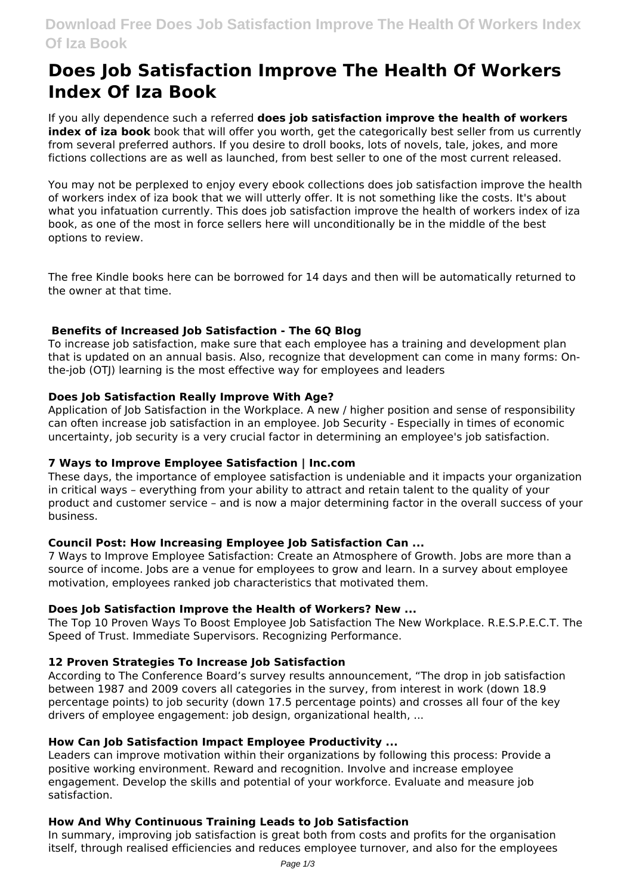# **Does Job Satisfaction Improve The Health Of Workers Index Of Iza Book**

If you ally dependence such a referred **does job satisfaction improve the health of workers index of iza book** book that will offer you worth, get the categorically best seller from us currently from several preferred authors. If you desire to droll books, lots of novels, tale, jokes, and more fictions collections are as well as launched, from best seller to one of the most current released.

You may not be perplexed to enjoy every ebook collections does job satisfaction improve the health of workers index of iza book that we will utterly offer. It is not something like the costs. It's about what you infatuation currently. This does job satisfaction improve the health of workers index of iza book, as one of the most in force sellers here will unconditionally be in the middle of the best options to review.

The free Kindle books here can be borrowed for 14 days and then will be automatically returned to the owner at that time.

# **Benefits of Increased Job Satisfaction - The 6Q Blog**

To increase job satisfaction, make sure that each employee has a training and development plan that is updated on an annual basis. Also, recognize that development can come in many forms: Onthe-job (OTJ) learning is the most effective way for employees and leaders

# **Does Job Satisfaction Really Improve With Age?**

Application of Job Satisfaction in the Workplace. A new / higher position and sense of responsibility can often increase job satisfaction in an employee. Job Security - Especially in times of economic uncertainty, job security is a very crucial factor in determining an employee's job satisfaction.

# **7 Ways to Improve Employee Satisfaction | Inc.com**

These days, the importance of employee satisfaction is undeniable and it impacts your organization in critical ways – everything from your ability to attract and retain talent to the quality of your product and customer service – and is now a major determining factor in the overall success of your business.

# **Council Post: How Increasing Employee Job Satisfaction Can ...**

7 Ways to Improve Employee Satisfaction: Create an Atmosphere of Growth. Jobs are more than a source of income. Jobs are a venue for employees to grow and learn. In a survey about employee motivation, employees ranked job characteristics that motivated them.

# **Does Job Satisfaction Improve the Health of Workers? New ...**

The Top 10 Proven Ways To Boost Employee Job Satisfaction The New Workplace. R.E.S.P.E.C.T. The Speed of Trust. Immediate Supervisors. Recognizing Performance.

# **12 Proven Strategies To Increase Job Satisfaction**

According to The Conference Board's survey results announcement, "The drop in job satisfaction between 1987 and 2009 covers all categories in the survey, from interest in work (down 18.9 percentage points) to job security (down 17.5 percentage points) and crosses all four of the key drivers of employee engagement: job design, organizational health, ...

# **How Can Job Satisfaction Impact Employee Productivity ...**

Leaders can improve motivation within their organizations by following this process: Provide a positive working environment. Reward and recognition. Involve and increase employee engagement. Develop the skills and potential of your workforce. Evaluate and measure job satisfaction.

# **How And Why Continuous Training Leads to Job Satisfaction**

In summary, improving job satisfaction is great both from costs and profits for the organisation itself, through realised efficiencies and reduces employee turnover, and also for the employees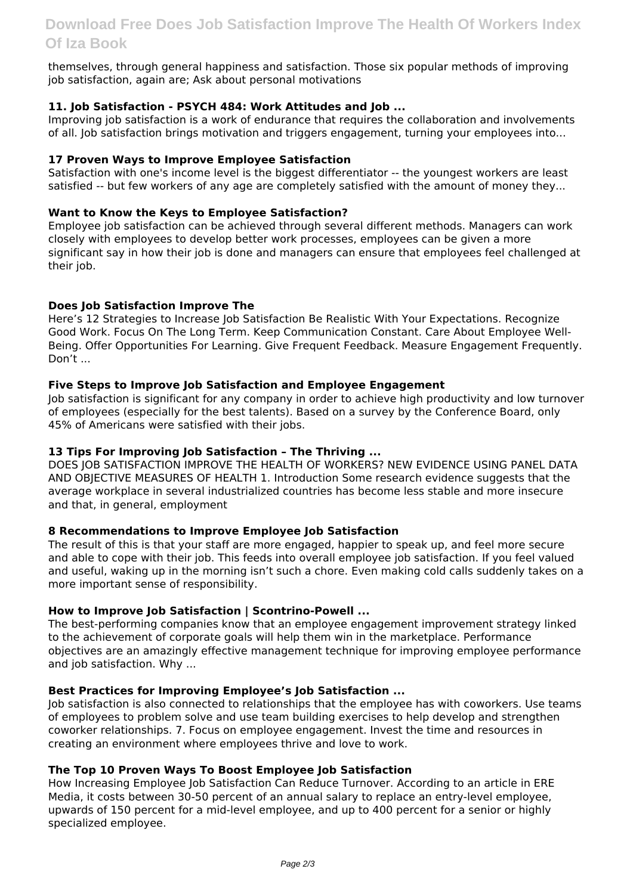themselves, through general happiness and satisfaction. Those six popular methods of improving job satisfaction, again are; Ask about personal motivations

# **11. Job Satisfaction - PSYCH 484: Work Attitudes and Job ...**

Improving job satisfaction is a work of endurance that requires the collaboration and involvements of all. Job satisfaction brings motivation and triggers engagement, turning your employees into...

# **17 Proven Ways to Improve Employee Satisfaction**

Satisfaction with one's income level is the biggest differentiator -- the youngest workers are least satisfied -- but few workers of any age are completely satisfied with the amount of money they...

# **Want to Know the Keys to Employee Satisfaction?**

Employee job satisfaction can be achieved through several different methods. Managers can work closely with employees to develop better work processes, employees can be given a more significant say in how their job is done and managers can ensure that employees feel challenged at their job.

# **Does Job Satisfaction Improve The**

Here's 12 Strategies to Increase Job Satisfaction Be Realistic With Your Expectations. Recognize Good Work. Focus On The Long Term. Keep Communication Constant. Care About Employee Well-Being. Offer Opportunities For Learning. Give Frequent Feedback. Measure Engagement Frequently. Don't

# **Five Steps to Improve Job Satisfaction and Employee Engagement**

Job satisfaction is significant for any company in order to achieve high productivity and low turnover of employees (especially for the best talents). Based on a survey by the Conference Board, only 45% of Americans were satisfied with their jobs.

# **13 Tips For Improving Job Satisfaction – The Thriving ...**

DOES JOB SATISFACTION IMPROVE THE HEALTH OF WORKERS? NEW EVIDENCE USING PANEL DATA AND OBJECTIVE MEASURES OF HEALTH 1. Introduction Some research evidence suggests that the average workplace in several industrialized countries has become less stable and more insecure and that, in general, employment

# **8 Recommendations to Improve Employee Job Satisfaction**

The result of this is that your staff are more engaged, happier to speak up, and feel more secure and able to cope with their job. This feeds into overall employee job satisfaction. If you feel valued and useful, waking up in the morning isn't such a chore. Even making cold calls suddenly takes on a more important sense of responsibility.

# **How to Improve Job Satisfaction | Scontrino-Powell ...**

The best-performing companies know that an employee engagement improvement strategy linked to the achievement of corporate goals will help them win in the marketplace. Performance objectives are an amazingly effective management technique for improving employee performance and job satisfaction. Why ...

# **Best Practices for Improving Employee's Job Satisfaction ...**

Job satisfaction is also connected to relationships that the employee has with coworkers. Use teams of employees to problem solve and use team building exercises to help develop and strengthen coworker relationships. 7. Focus on employee engagement. Invest the time and resources in creating an environment where employees thrive and love to work.

# **The Top 10 Proven Ways To Boost Employee Job Satisfaction**

How Increasing Employee Job Satisfaction Can Reduce Turnover. According to an article in ERE Media, it costs between 30-50 percent of an annual salary to replace an entry-level employee, upwards of 150 percent for a mid-level employee, and up to 400 percent for a senior or highly specialized employee.